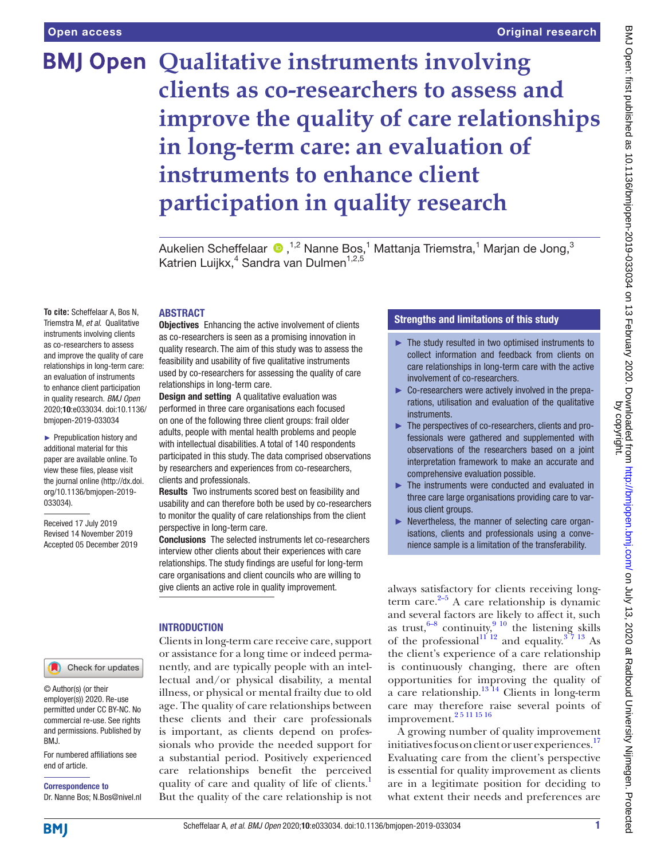# **BMJ Open Qualitative instruments involving clients as co-researchers to assess and improve the quality of care relationships in long-term care: an evaluation of instruments to enhance client participation in quality research**

Aukelien Scheffelaar  $\bigcirc$  ,  $^{1,2}$  Nanne Bos, 1 Mattanja Triemstra, 1 Marjan de Jong, 3 Katrien Luijkx,<sup>4</sup> Sandra van Dulmen<sup>1,2,5</sup>

#### **ABSTRACT**

**To cite:** Scheffelaar A, Bos N, Triemstra M, *et al*. Qualitative instruments involving clients as co-researchers to assess and improve the quality of care relationships in long-term care: an evaluation of instruments to enhance client participation in quality research. *BMJ Open* 2020;10:e033034. doi:10.1136/ bmjopen-2019-033034

► Prepublication history and additional material for this paper are available online. To view these files, please visit the journal online (http://dx.doi. org/10.1136/bmjopen-2019- 033034).

Received 17 July 2019 Revised 14 November 2019 Accepted 05 December 2019

For numbered affiliations see

Check for updates

#### **Objectives** Enhancing the active involvement of clients as co-researchers is seen as a promising innovation in quality research. The aim of this study was to assess the feasibility and usability of five qualitative instruments used by co-researchers for assessing the quality of care relationships in long-term care.

Design and setting A qualitative evaluation was performed in three care organisations each focused on one of the following three client groups: frail older adults, people with mental health problems and people with intellectual disabilities. A total of 140 respondents participated in this study. The data comprised observations by researchers and experiences from co-researchers, clients and professionals.

Results Two instruments scored best on feasibility and usability and can therefore both be used by co-researchers to monitor the quality of care relationships from the client perspective in long-term care.

Conclusions The selected instruments let co-researchers interview other clients about their experiences with care relationships. The study findings are useful for long-term care organisations and client councils who are willing to give clients an active role in quality improvement.

# **INTRODUCTION**

Clients in long-term care receive care, support or assistance for a long time or indeed permanently, and are typically people with an intellectual and/or physical disability, a mental illness, or physical or mental frailty due to old age. The quality of care relationships between these clients and their care professionals is important, as clients depend on professionals who provide the needed support for a substantial period. Positively experienced care relationships benefit the perceived quality of care and quality of life of clients.<sup>[1](#page-12-0)</sup> But the quality of the care relationship is not

# Strengths and limitations of this study

- ► The study resulted in two optimised instruments to collect information and feedback from clients on care relationships in long-term care with the active involvement of co-researchers.
- ► Co-researchers were actively involved in the preparations, utilisation and evaluation of the qualitative instruments.
- ► The perspectives of co-researchers, clients and professionals were gathered and supplemented with observations of the researchers based on a joint interpretation framework to make an accurate and comprehensive evaluation possible.
- ► The instruments were conducted and evaluated in three care large organisations providing care to various client groups.
- ► Nevertheless, the manner of selecting care organisations, clients and professionals using a convenience sample is a limitation of the transferability.

always satisfactory for clients receiving longterm care. $2-5$  A care relationship is dynamic and several factors are likely to affect it, such as trust,  $6-8$  continuity,  $9^{10}$  the listening skills of the professional<sup>[11 12](#page-12-4)</sup> and equality.<sup>37 13</sup> As the client's experience of a care relationship is continuously changing, there are often opportunities for improving the quality of a care relationship. $13^{14}$  Clients in long-term care may therefore raise several points of improvement.[2 5 11 15 16](#page-12-1)

A growing number of quality improvement initiatives focus on client or user experiences.<sup>[17](#page-12-7)</sup> Evaluating care from the client's perspective is essential for quality improvement as clients are in a legitimate position for deciding to what extent their needs and preferences are

**BMI** 

end of article.

RM<sub>J</sub>

Correspondence to Dr. Nanne Bos; N.Bos@nivel.nl

© Author(s) (or their employer(s)) 2020. Re-use permitted under CC BY-NC. No commercial re-use. See rights and permissions. Published by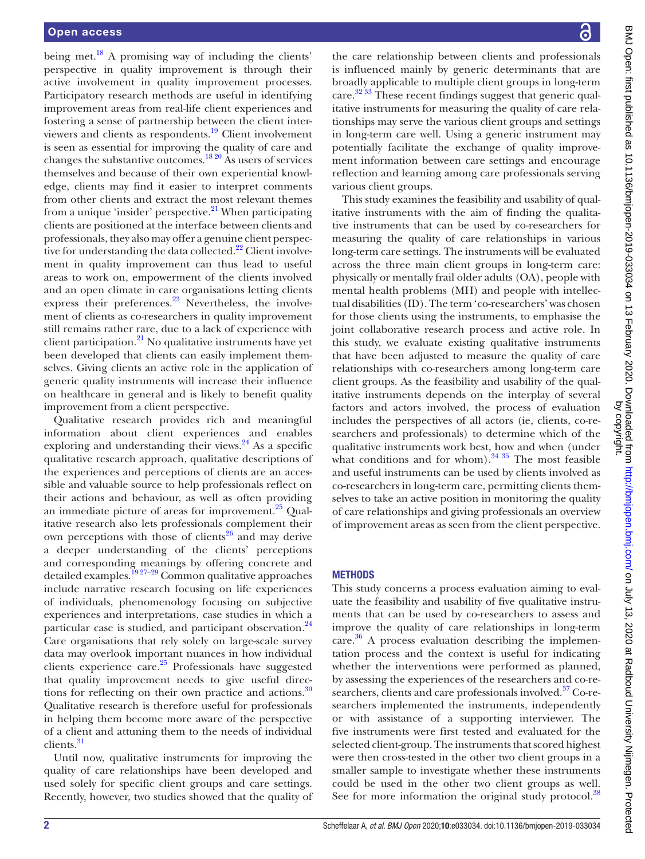being met. $^{18}$  A promising way of including the clients' perspective in quality improvement is through their active involvement in quality improvement processes. Participatory research methods are useful in identifying improvement areas from real-life client experiences and fostering a sense of partnership between the client inter-viewers and clients as respondents.<sup>[19](#page-12-9)</sup> Client involvement is seen as essential for improving the quality of care and changes the substantive outcomes.[18 20](#page-12-8) As users of services themselves and because of their own experiential knowledge, clients may find it easier to interpret comments from other clients and extract the most relevant themes from a unique 'insider' perspective.<sup>21</sup> When participating clients are positioned at the interface between clients and professionals, they also may offer a genuine client perspective for understanding the data collected. $22$  Client involvement in quality improvement can thus lead to useful areas to work on, empowerment of the clients involved and an open climate in care organisations letting clients express their preferences.<sup>23</sup> Nevertheless, the involvement of clients as co-researchers in quality improvement still remains rather rare, due to a lack of experience with client participation. $^{21}$  No qualitative instruments have yet been developed that clients can easily implement themselves. Giving clients an active role in the application of generic quality instruments will increase their influence on healthcare in general and is likely to benefit quality improvement from a client perspective.

Qualitative research provides rich and meaningful information about client experiences and enables exploring and understanding their views. $^{24}$  $^{24}$  $^{24}$  As a specific qualitative research approach, qualitative descriptions of the experiences and perceptions of clients are an accessible and valuable source to help professionals reflect on their actions and behaviour, as well as often providing an immediate picture of areas for improvement.<sup>[25](#page-12-14)</sup> Qualitative research also lets professionals complement their own perceptions with those of clients $26$  and may derive a deeper understanding of the clients' perceptions and corresponding meanings by offering concrete and detailed examples.<sup>1927–29</sup> Common qualitative approaches include narrative research focusing on life experiences of individuals, phenomenology focusing on subjective experiences and interpretations, case studies in which a particular case is studied, and participant observation.<sup>[24](#page-12-13)</sup> Care organisations that rely solely on large-scale survey data may overlook important nuances in how individual clients experience care. $25$  Professionals have suggested that quality improvement needs to give useful directions for reflecting on their own practice and actions.<sup>30</sup> Qualitative research is therefore useful for professionals in helping them become more aware of the perspective of a client and attuning them to the needs of individual clients.<sup>[31](#page-12-17)</sup>

Until now, qualitative instruments for improving the quality of care relationships have been developed and used solely for specific client groups and care settings. Recently, however, two studies showed that the quality of BMJ Open: first published as 10.1136/bmjopen-2019-033034 on 13 February 2020. Downloaded from http://bmjopen.bmj.com/ on July 13, 2020 at Radboud University Nijmegen. Protected<br>by copyright published as 10.1136/bmjopen-201 BMJ Open: first published as 10.1136/bmjopen-2019-033034 on 13 February 2020. Downloaded from <http://bmjopen.bmj.com/> on July 13, 2020 at Radboud University Nijmegen. Protected by copyright.

the care relationship between clients and professionals is influenced mainly by generic determinants that are broadly applicable to multiple client groups in long-term care.<sup>32</sup> 33 These recent findings suggest that generic qualitative instruments for measuring the quality of care relationships may serve the various client groups and settings in long-term care well. Using a generic instrument may potentially facilitate the exchange of quality improvement information between care settings and encourage reflection and learning among care professionals serving various client groups.

This study examines the feasibility and usability of qualitative instruments with the aim of finding the qualitative instruments that can be used by co-researchers for measuring the quality of care relationships in various long-term care settings. The instruments will be evaluated across the three main client groups in long-term care: physically or mentally frail older adults (OA), people with mental health problems (MH) and people with intellectual disabilities (ID). The term 'co-researchers' was chosen for those clients using the instruments, to emphasise the joint collaborative research process and active role. In this study, we evaluate existing qualitative instruments that have been adjusted to measure the quality of care relationships with co-researchers among long-term care client groups. As the feasibility and usability of the qualitative instruments depends on the interplay of several factors and actors involved, the process of evaluation includes the perspectives of all actors (ie, clients, co-researchers and professionals) to determine which of the qualitative instruments work best, how and when (under what conditions and for whom). $3435$  The most feasible and useful instruments can be used by clients involved as co-researchers in long-term care, permitting clients themselves to take an active position in monitoring the quality of care relationships and giving professionals an overview of improvement areas as seen from the client perspective.

# **METHODS**

This study concerns a process evaluation aiming to evaluate the feasibility and usability of five qualitative instruments that can be used by co-researchers to assess and improve the quality of care relationships in long-term care. [36](#page-13-1) A process evaluation describing the implementation process and the context is useful for indicating whether the interventions were performed as planned, by assessing the experiences of the researchers and co-researchers, clients and care professionals involved.<sup>37</sup> Co-researchers implemented the instruments, independently or with assistance of a supporting interviewer. The five instruments were first tested and evaluated for the selected client-group. The instruments that scored highest were then cross-tested in the other two client groups in a smaller sample to investigate whether these instruments could be used in the other two client groups as well. See for more information the original study protocol.<sup>[38](#page-13-3)</sup>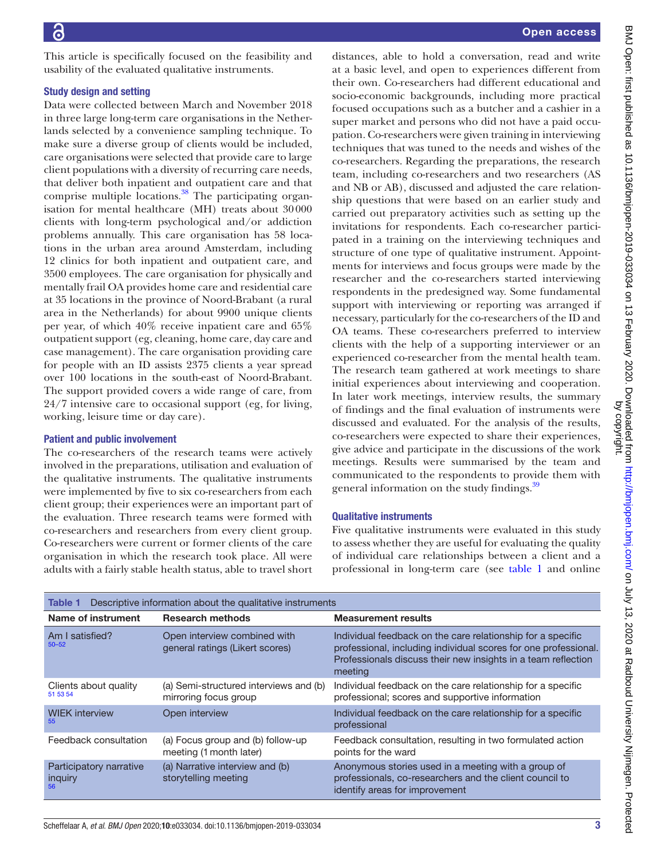This article is specifically focused on the feasibility and usability of the evaluated qualitative instruments.

#### Study design and setting

Data were collected between March and November 2018 in three large long-term care organisations in the Netherlands selected by a convenience sampling technique. To make sure a diverse group of clients would be included, care organisations were selected that provide care to large client populations with a diversity of recurring care needs, that deliver both inpatient and outpatient care and that comprise multiple locations.<sup>38</sup> The participating organisation for mental healthcare (MH) treats about 30000 clients with long-term psychological and/or addiction problems annually. This care organisation has 58 locations in the urban area around Amsterdam, including 12 clinics for both inpatient and outpatient care, and 3500 employees. The care organisation for physically and mentally frail OA provides home care and residential care at 35 locations in the province of Noord-Brabant (a rural area in the Netherlands) for about 9900 unique clients per year, of which 40% receive inpatient care and 65% outpatient support (eg, cleaning, home care, day care and case management). The care organisation providing care for people with an ID assists 2375 clients a year spread over 100 locations in the south-east of Noord-Brabant. The support provided covers a wide range of care, from 24/7 intensive care to occasional support (eg, for living, working, leisure time or day care).

# Patient and public involvement

The co-researchers of the research teams were actively involved in the preparations, utilisation and evaluation of the qualitative instruments. The qualitative instruments were implemented by five to six co-researchers from each client group; their experiences were an important part of the evaluation. Three research teams were formed with co-researchers and researchers from every client group. Co-researchers were current or former clients of the care organisation in which the research took place. All were adults with a fairly stable health status, able to travel short

distances, able to hold a conversation, read and write at a basic level, and open to experiences different from their own. Co-researchers had different educational and socio-economic backgrounds, including more practical focused occupations such as a butcher and a cashier in a super market and persons who did not have a paid occupation. Co-researchers were given training in interviewing techniques that was tuned to the needs and wishes of the co-researchers. Regarding the preparations, the research team, including co-researchers and two researchers (AS and NB or AB), discussed and adjusted the care relationship questions that were based on an earlier study and carried out preparatory activities such as setting up the invitations for respondents. Each co-researcher participated in a training on the interviewing techniques and structure of one type of qualitative instrument. Appointments for interviews and focus groups were made by the researcher and the co-researchers started interviewing respondents in the predesigned way. Some fundamental support with interviewing or reporting was arranged if necessary, particularly for the co-researchers of the ID and OA teams. These co-researchers preferred to interview clients with the help of a supporting interviewer or an experienced co-researcher from the mental health team. The research team gathered at work meetings to share initial experiences about interviewing and cooperation. In later work meetings, interview results, the summary of findings and the final evaluation of instruments were discussed and evaluated. For the analysis of the results, co-researchers were expected to share their experiences, give advice and participate in the discussions of the work meetings. Results were summarised by the team and communicated to the respondents to provide them with general information on the study findings.<sup>[39](#page-13-8)</sup>

#### Qualitative instruments

Five qualitative instruments were evaluated in this study to assess whether they are useful for evaluating the quality of individual care relationships between a client and a professional in long-term care (see [table](#page-2-0) 1 and [online](https://dx.doi.org/10.1136/bmjopen-2019-033034) 

<span id="page-2-0"></span>

| Descriptive information about the qualitative instruments<br>Table 1 |                                                                 |                                                                                                                                                                                                            |  |  |  |  |
|----------------------------------------------------------------------|-----------------------------------------------------------------|------------------------------------------------------------------------------------------------------------------------------------------------------------------------------------------------------------|--|--|--|--|
| Name of instrument                                                   | <b>Research methods</b>                                         | <b>Measurement results</b>                                                                                                                                                                                 |  |  |  |  |
| Am I satisfied?<br>$50 - 52$                                         | Open interview combined with<br>general ratings (Likert scores) | Individual feedback on the care relationship for a specific<br>professional, including individual scores for one professional.<br>Professionals discuss their new insights in a team reflection<br>meeting |  |  |  |  |
| Clients about quality<br>51 53 54                                    | (a) Semi-structured interviews and (b)<br>mirroring focus group | Individual feedback on the care relationship for a specific<br>professional; scores and supportive information                                                                                             |  |  |  |  |
| <b>WIEK</b> interview<br>55                                          | Open interview                                                  | Individual feedback on the care relationship for a specific<br>professional                                                                                                                                |  |  |  |  |
| Feedback consultation                                                | (a) Focus group and (b) follow-up<br>meeting (1 month later)    | Feedback consultation, resulting in two formulated action<br>points for the ward                                                                                                                           |  |  |  |  |
| Participatory narrative<br>inquiry                                   | (a) Narrative interview and (b)<br>storytelling meeting         | Anonymous stories used in a meeting with a group of<br>professionals, co-researchers and the client council to<br>identify areas for improvement                                                           |  |  |  |  |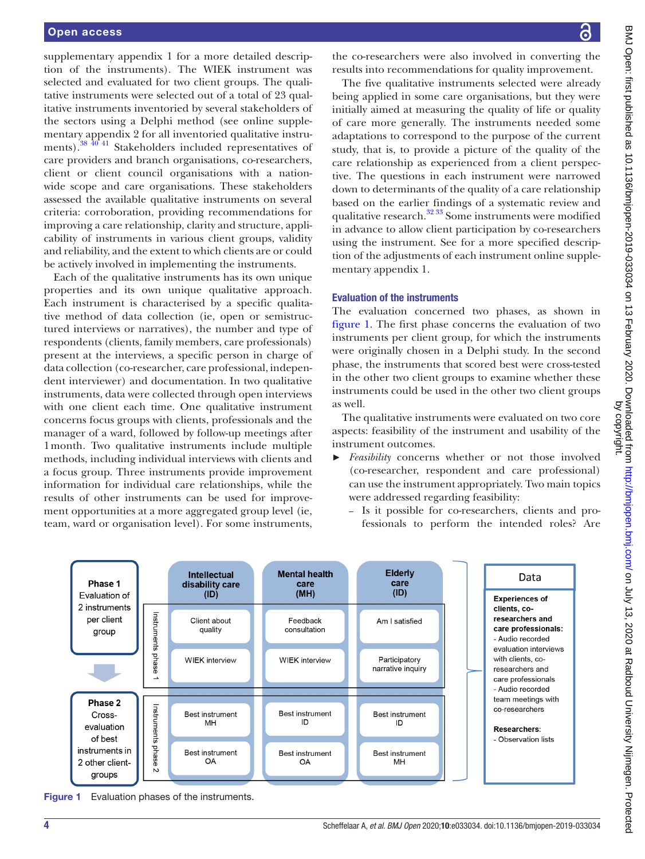[supplementary appendix 1](https://dx.doi.org/10.1136/bmjopen-2019-033034) for a more detailed description of the instruments). The WIEK instrument was selected and evaluated for two client groups. The qualitative instruments were selected out of a total of 23 qualitative instruments inventoried by several stakeholders of the sectors using a Delphi method (see [online supple](https://dx.doi.org/10.1136/bmjopen-2019-033034)[mentary appendix 2](https://dx.doi.org/10.1136/bmjopen-2019-033034) for all inventoried qualitative instruments).<sup>38 40 41</sup> Stakeholders included representatives of care providers and branch organisations, co-researchers, client or client council organisations with a nationwide scope and care organisations. These stakeholders assessed the available qualitative instruments on several criteria: corroboration, providing recommendations for improving a care relationship, clarity and structure, applicability of instruments in various client groups, validity and reliability, and the extent to which clients are or could be actively involved in implementing the instruments.

Each of the qualitative instruments has its own unique properties and its own unique qualitative approach. Each instrument is characterised by a specific qualitative method of data collection (ie, open or semistructured interviews or narratives), the number and type of respondents (clients, family members, care professionals) present at the interviews, a specific person in charge of data collection (co-researcher, care professional, independent interviewer) and documentation. In two qualitative instruments, data were collected through open interviews with one client each time. One qualitative instrument concerns focus groups with clients, professionals and the manager of a ward, followed by follow-up meetings after 1month. Two qualitative instruments include multiple methods, including individual interviews with clients and a focus group. Three instruments provide improvement information for individual care relationships, while the results of other instruments can be used for improvement opportunities at a more aggregated group level (ie, team, ward or organisation level). For some instruments,

the co-researchers were also involved in converting the results into recommendations for quality improvement.

The five qualitative instruments selected were already being applied in some care organisations, but they were initially aimed at measuring the quality of life or quality of care more generally. The instruments needed some adaptations to correspond to the purpose of the current study, that is, to provide a picture of the quality of the care relationship as experienced from a client perspective. The questions in each instrument were narrowed down to determinants of the quality of a care relationship based on the earlier findings of a systematic review and qualitative research.<sup>32</sup> 33 Some instruments were modified in advance to allow client participation by co-researchers using the instrument. See for a more specified description of the adjustments of each instrument [online supple](https://dx.doi.org/10.1136/bmjopen-2019-033034)[mentary appendix 1](https://dx.doi.org/10.1136/bmjopen-2019-033034).

#### Evaluation of the instruments

The evaluation concerned two phases, as shown in [figure](#page-3-0) 1. The first phase concerns the evaluation of two instruments per client group, for which the instruments were originally chosen in a Delphi study. In the second phase, the instruments that scored best were cross-tested in the other two client groups to examine whether these instruments could be used in the other two client groups as well.

The qualitative instruments were evaluated on two core aspects: feasibility of the instrument and usability of the instrument outcomes.

- *Feasibility* concerns whether or not those involved (co-researcher, respondent and care professional) can use the instrument appropriately. Two main topics were addressed regarding feasibility:
	- Is it possible for co-researchers, clients and professionals to perform the intended roles? Are



<span id="page-3-0"></span>Figure 1 Evaluation phases of the instruments.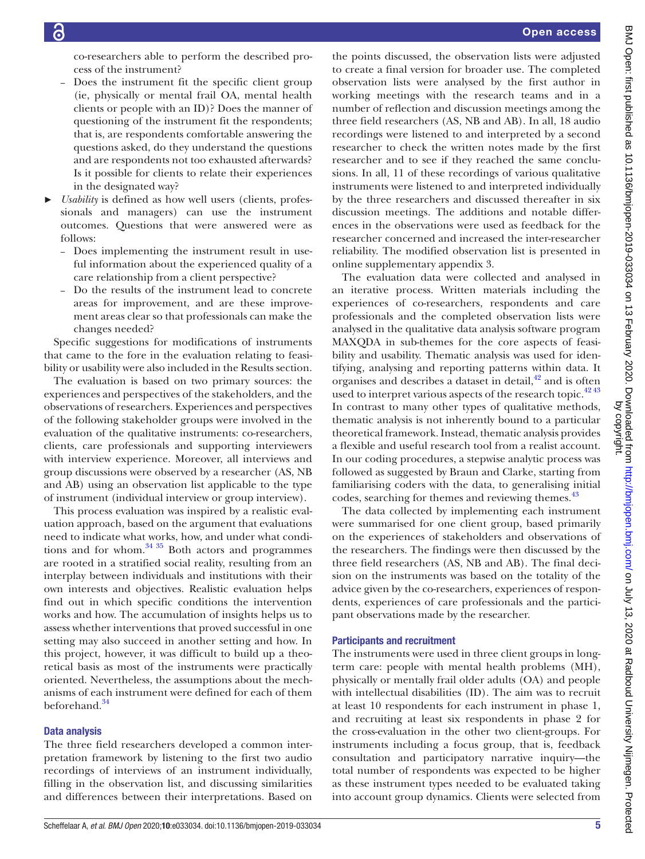co-researchers able to perform the described process of the instrument?

- Does the instrument fit the specific client group (ie, physically or mental frail OA, mental health clients or people with an ID)? Does the manner of questioning of the instrument fit the respondents; that is, are respondents comfortable answering the questions asked, do they understand the questions and are respondents not too exhausted afterwards? Is it possible for clients to relate their experiences in the designated way?
- ► *Usability* is defined as how well users (clients, professionals and managers) can use the instrument outcomes. Questions that were answered were as follows:
	- Does implementing the instrument result in useful information about the experienced quality of a care relationship from a client perspective?
	- Do the results of the instrument lead to concrete areas for improvement, and are these improvement areas clear so that professionals can make the changes needed?

Specific suggestions for modifications of instruments that came to the fore in the evaluation relating to feasibility or usability were also included in the Results section.

The evaluation is based on two primary sources: the experiences and perspectives of the stakeholders, and the observations of researchers. Experiences and perspectives of the following stakeholder groups were involved in the evaluation of the qualitative instruments: co-researchers, clients, care professionals and supporting interviewers with interview experience. Moreover, all interviews and group discussions were observed by a researcher (AS, NB and AB) using an observation list applicable to the type of instrument (individual interview or group interview).

This process evaluation was inspired by a realistic evaluation approach, based on the argument that evaluations need to indicate what works, how, and under what conditions and for whom. $34 \frac{35}{10}$  Both actors and programmes are rooted in a stratified social reality, resulting from an interplay between individuals and institutions with their own interests and objectives. Realistic evaluation helps find out in which specific conditions the intervention works and how. The accumulation of insights helps us to assess whether interventions that proved successful in one setting may also succeed in another setting and how. In this project, however, it was difficult to build up a theoretical basis as most of the instruments were practically oriented. Nevertheless, the assumptions about the mechanisms of each instrument were defined for each of them beforehand.<sup>[34](#page-13-0)</sup>

#### Data analysis

The three field researchers developed a common interpretation framework by listening to the first two audio recordings of interviews of an instrument individually, filling in the observation list, and discussing similarities and differences between their interpretations. Based on

the points discussed, the observation lists were adjusted to create a final version for broader use. The completed observation lists were analysed by the first author in working meetings with the research teams and in a number of reflection and discussion meetings among the three field researchers (AS, NB and AB). In all, 18 audio recordings were listened to and interpreted by a second researcher to check the written notes made by the first researcher and to see if they reached the same conclusions. In all, 11 of these recordings of various qualitative instruments were listened to and interpreted individually by the three researchers and discussed thereafter in six discussion meetings. The additions and notable differences in the observations were used as feedback for the researcher concerned and increased the inter-researcher reliability. The modified observation list is presented in [online supplementary appendix 3](https://dx.doi.org/10.1136/bmjopen-2019-033034).

The evaluation data were collected and analysed in an iterative process. Written materials including the experiences of co-researchers, respondents and care professionals and the completed observation lists were analysed in the qualitative data analysis software program MAXQDA in sub-themes for the core aspects of feasibility and usability. Thematic analysis was used for identifying, analysing and reporting patterns within data. It organises and describes a dataset in detail, $^{42}$  and is often used to interpret various aspects of the research topic.<sup>4243</sup> In contrast to many other types of qualitative methods, thematic analysis is not inherently bound to a particular theoretical framework. Instead, thematic analysis provides a flexible and useful research tool from a realist account. In our coding procedures, a stepwise analytic process was followed as suggested by Braun and Clarke, starting from familiarising coders with the data, to generalising initial codes, searching for themes and reviewing themes.<sup>[43](#page-13-10)</sup>

The data collected by implementing each instrument were summarised for one client group, based primarily on the experiences of stakeholders and observations of the researchers. The findings were then discussed by the three field researchers (AS, NB and AB). The final decision on the instruments was based on the totality of the advice given by the co-researchers, experiences of respondents, experiences of care professionals and the participant observations made by the researcher.

#### Participants and recruitment

The instruments were used in three client groups in longterm care: people with mental health problems (MH), physically or mentally frail older adults (OA) and people with intellectual disabilities (ID). The aim was to recruit at least 10 respondents for each instrument in phase 1, and recruiting at least six respondents in phase 2 for the cross-evaluation in the other two client-groups. For instruments including a focus group, that is, feedback consultation and participatory narrative inquiry—the total number of respondents was expected to be higher as these instrument types needed to be evaluated taking into account group dynamics. Clients were selected from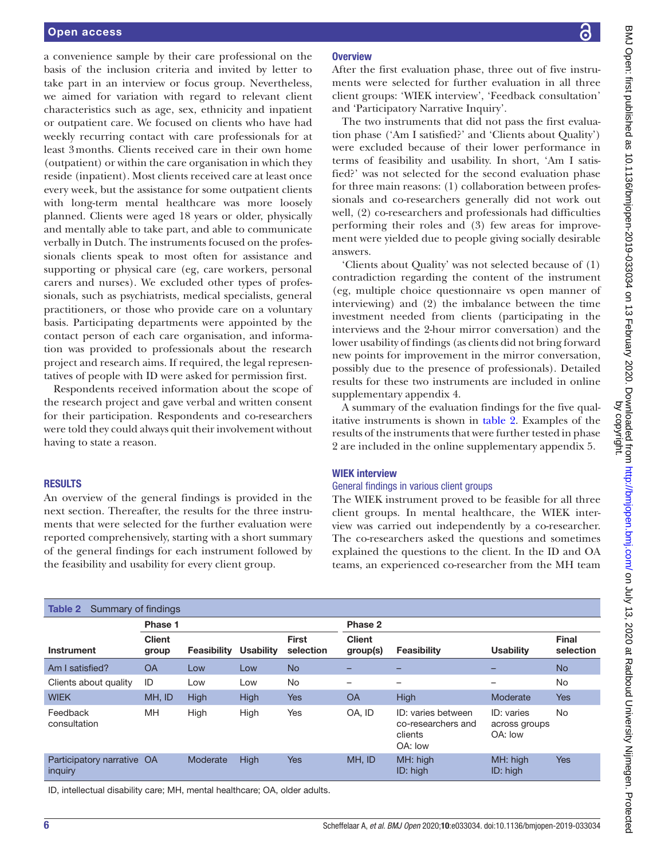a convenience sample by their care professional on the basis of the inclusion criteria and invited by letter to take part in an interview or focus group. Nevertheless, we aimed for variation with regard to relevant client characteristics such as age, sex, ethnicity and inpatient or outpatient care. We focused on clients who have had weekly recurring contact with care professionals for at least 3months. Clients received care in their own home (outpatient) or within the care organisation in which they reside (inpatient). Most clients received care at least once every week, but the assistance for some outpatient clients with long-term mental healthcare was more loosely planned. Clients were aged 18 years or older, physically and mentally able to take part, and able to communicate verbally in Dutch. The instruments focused on the professionals clients speak to most often for assistance and supporting or physical care (eg, care workers, personal carers and nurses). We excluded other types of professionals, such as psychiatrists, medical specialists, general practitioners, or those who provide care on a voluntary basis. Participating departments were appointed by the contact person of each care organisation, and information was provided to professionals about the research project and research aims. If required, the legal representatives of people with ID were asked for permission first.

Respondents received information about the scope of the research project and gave verbal and written consent for their participation. Respondents and co-researchers were told they could always quit their involvement without having to state a reason.

#### **RESULTS**

An overview of the general findings is provided in the next section. Thereafter, the results for the three instruments that were selected for the further evaluation were reported comprehensively, starting with a short summary of the general findings for each instrument followed by the feasibility and usability for every client group.

# **Overview**

After the first evaluation phase, three out of five instruments were selected for further evaluation in all three client groups: 'WIEK interview', 'Feedback consultation' and 'Participatory Narrative Inquiry'.

The two instruments that did not pass the first evaluation phase ('Am I satisfied?' and 'Clients about Quality') were excluded because of their lower performance in terms of feasibility and usability. In short, 'Am I satisfied?' was not selected for the second evaluation phase for three main reasons: (1) collaboration between professionals and co-researchers generally did not work out well, (2) co-researchers and professionals had difficulties performing their roles and (3) few areas for improvement were yielded due to people giving socially desirable answers.

'Clients about Quality' was not selected because of (1) contradiction regarding the content of the instrument (eg, multiple choice questionnaire vs open manner of interviewing) and (2) the imbalance between the time investment needed from clients (participating in the interviews and the 2-hour mirror conversation) and the lower usability of findings (as clients did not bring forward new points for improvement in the mirror conversation, possibly due to the presence of professionals). Detailed results for these two instruments are included in [online](https://dx.doi.org/10.1136/bmjopen-2019-033034)  [supplementary appendix 4](https://dx.doi.org/10.1136/bmjopen-2019-033034).

A summary of the evaluation findings for the five qualitative instruments is shown in [table](#page-5-0) 2. Examples of the results of the instruments that were further tested in phase 2 are included in the [online supplementary appendix 5.](https://dx.doi.org/10.1136/bmjopen-2019-033034)

# WIEK interview

#### General findings in various client groups

The WIEK instrument proved to be feasible for all three client groups. In mental healthcare, the WIEK interview was carried out independently by a co-researcher. The co-researchers asked the questions and sometimes explained the questions to the client. In the ID and OA teams, an experienced co-researcher from the MH team

<span id="page-5-0"></span>

| Summary of findings<br>Table 2        |                        |                    |                  |                           |                           |                                                                |                                                |                           |
|---------------------------------------|------------------------|--------------------|------------------|---------------------------|---------------------------|----------------------------------------------------------------|------------------------------------------------|---------------------------|
|                                       | Phase 1                |                    |                  |                           | Phase 2                   |                                                                |                                                |                           |
| <b>Instrument</b>                     | <b>Client</b><br>group | <b>Feasibility</b> | <b>Usability</b> | <b>First</b><br>selection | <b>Client</b><br>group(s) | <b>Feasibility</b>                                             | <b>Usability</b>                               | <b>Final</b><br>selection |
| Am I satisfied?                       | <b>OA</b>              | Low                | Low              | <b>No</b>                 | -                         |                                                                | -                                              | <b>No</b>                 |
| Clients about quality                 | ID                     | Low                | Low              | No.                       |                           |                                                                |                                                | No                        |
| <b>WIEK</b>                           | MH, ID                 | High               | <b>High</b>      | <b>Yes</b>                | <b>OA</b>                 | High                                                           | Moderate                                       | <b>Yes</b>                |
| Feedback<br>consultation              | <b>MH</b>              | High               | High             | Yes                       | OA. ID                    | ID: varies between<br>co-researchers and<br>clients<br>OA: low | <b>ID</b> : varies<br>across groups<br>OA: low | <b>No</b>                 |
| Participatory narrative OA<br>inquiry |                        | Moderate           | High             | <b>Yes</b>                | MH, ID                    | MH: high<br>ID: high                                           | MH: high<br>ID: high                           | <b>Yes</b>                |
|                                       |                        |                    |                  |                           |                           |                                                                |                                                |                           |

ID, intellectual disability care; MH, mental healthcare; OA, older adults.

ဥ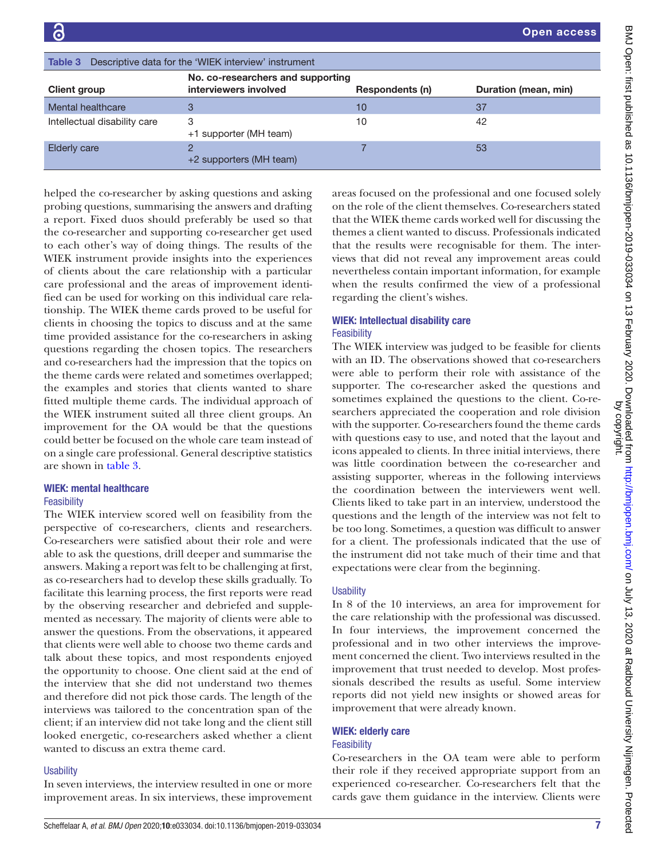<span id="page-6-0"></span>

| Descriptive data for the 'WIEK interview' instrument<br>Table 3 |                                                                                                       |    |    |  |  |  |
|-----------------------------------------------------------------|-------------------------------------------------------------------------------------------------------|----|----|--|--|--|
| Client group                                                    | No. co-researchers and supporting<br>interviewers involved<br>Duration (mean, min)<br>Respondents (n) |    |    |  |  |  |
| Mental healthcare                                               |                                                                                                       | 10 | 37 |  |  |  |
| Intellectual disability care                                    | 3<br>+1 supporter (MH team)                                                                           | 10 | 42 |  |  |  |
| Elderly care                                                    | ≘<br>+2 supporters (MH team)                                                                          |    | 53 |  |  |  |

helped the co-researcher by asking questions and asking probing questions, summarising the answers and drafting a report. Fixed duos should preferably be used so that the co-researcher and supporting co-researcher get used to each other's way of doing things. The results of the WIEK instrument provide insights into the experiences of clients about the care relationship with a particular care professional and the areas of improvement identified can be used for working on this individual care relationship. The WIEK theme cards proved to be useful for clients in choosing the topics to discuss and at the same time provided assistance for the co-researchers in asking questions regarding the chosen topics. The researchers and co-researchers had the impression that the topics on the theme cards were related and sometimes overlapped; the examples and stories that clients wanted to share fitted multiple theme cards. The individual approach of the WIEK instrument suited all three client groups. An improvement for the OA would be that the questions could better be focused on the whole care team instead of on a single care professional. General descriptive statistics are shown in [table](#page-6-0) 3.

#### WIEK: mental healthcare

#### **Feasibility**

The WIEK interview scored well on feasibility from the perspective of co-researchers, clients and researchers. Co-researchers were satisfied about their role and were able to ask the questions, drill deeper and summarise the answers. Making a report was felt to be challenging at first, as co-researchers had to develop these skills gradually. To facilitate this learning process, the first reports were read by the observing researcher and debriefed and supplemented as necessary. The majority of clients were able to answer the questions. From the observations, it appeared that clients were well able to choose two theme cards and talk about these topics, and most respondents enjoyed the opportunity to choose. One client said at the end of the interview that she did not understand two themes and therefore did not pick those cards. The length of the interviews was tailored to the concentration span of the client; if an interview did not take long and the client still looked energetic, co-researchers asked whether a client wanted to discuss an extra theme card.

#### **Usability**

In seven interviews, the interview resulted in one or more improvement areas. In six interviews, these improvement areas focused on the professional and one focused solely on the role of the client themselves. Co-researchers stated that the WIEK theme cards worked well for discussing the themes a client wanted to discuss. Professionals indicated that the results were recognisable for them. The interviews that did not reveal any improvement areas could nevertheless contain important information, for example when the results confirmed the view of a professional regarding the client's wishes.

# WIEK: Intellectual disability care

# **Feasibility**

The WIEK interview was judged to be feasible for clients with an ID. The observations showed that co-researchers were able to perform their role with assistance of the supporter. The co-researcher asked the questions and sometimes explained the questions to the client. Co-researchers appreciated the cooperation and role division with the supporter. Co-researchers found the theme cards with questions easy to use, and noted that the layout and icons appealed to clients. In three initial interviews, there was little coordination between the co-researcher and assisting supporter, whereas in the following interviews the coordination between the interviewers went well. Clients liked to take part in an interview, understood the questions and the length of the interview was not felt to be too long. Sometimes, a question was difficult to answer for a client. The professionals indicated that the use of the instrument did not take much of their time and that expectations were clear from the beginning.

#### **Usability**

In 8 of the 10 interviews, an area for improvement for the care relationship with the professional was discussed. In four interviews, the improvement concerned the professional and in two other interviews the improvement concerned the client. Two interviews resulted in the improvement that trust needed to develop. Most professionals described the results as useful. Some interview reports did not yield new insights or showed areas for improvement that were already known.

#### WIEK: elderly care **Feasibility**

Co-researchers in the OA team were able to perform their role if they received appropriate support from an experienced co-researcher. Co-researchers felt that the cards gave them guidance in the interview. Clients were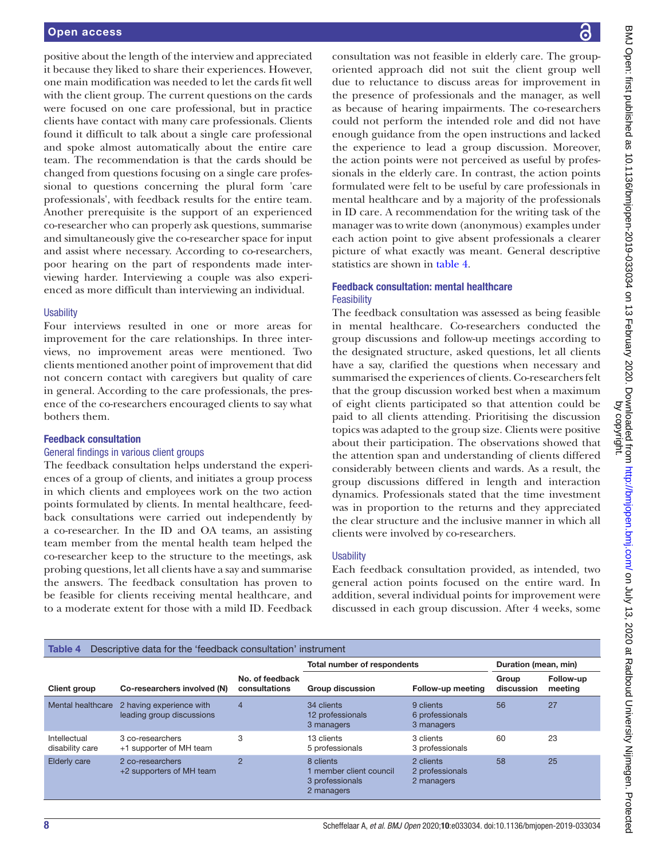positive about the length of the interview and appreciated it because they liked to share their experiences. However, one main modification was needed to let the cards fit well with the client group. The current questions on the cards were focused on one care professional, but in practice clients have contact with many care professionals. Clients found it difficult to talk about a single care professional and spoke almost automatically about the entire care team. The recommendation is that the cards should be changed from questions focusing on a single care professional to questions concerning the plural form 'care professionals', with feedback results for the entire team. Another prerequisite is the support of an experienced co-researcher who can properly ask questions, summarise and simultaneously give the co-researcher space for input and assist where necessary. According to co-researchers, poor hearing on the part of respondents made interviewing harder. Interviewing a couple was also experienced as more difficult than interviewing an individual.

#### **Usability**

Four interviews resulted in one or more areas for improvement for the care relationships. In three interviews, no improvement areas were mentioned. Two clients mentioned another point of improvement that did not concern contact with caregivers but quality of care in general. According to the care professionals, the presence of the co-researchers encouraged clients to say what bothers them.

#### Feedback consultation

#### General findings in various client groups

The feedback consultation helps understand the experiences of a group of clients, and initiates a group process in which clients and employees work on the two action points formulated by clients. In mental healthcare, feedback consultations were carried out independently by a co-researcher. In the ID and OA teams, an assisting team member from the mental health team helped the co-researcher keep to the structure to the meetings, ask probing questions, let all clients have a say and summarise the answers. The feedback consultation has proven to be feasible for clients receiving mental healthcare, and to a moderate extent for those with a mild ID. Feedback

consultation was not feasible in elderly care. The grouporiented approach did not suit the client group well due to reluctance to discuss areas for improvement in the presence of professionals and the manager, as well as because of hearing impairments. The co-researchers could not perform the intended role and did not have enough guidance from the open instructions and lacked the experience to lead a group discussion. Moreover, the action points were not perceived as useful by professionals in the elderly care. In contrast, the action points formulated were felt to be useful by care professionals in mental healthcare and by a majority of the professionals in ID care. A recommendation for the writing task of the manager was to write down (anonymous) examples under each action point to give absent professionals a clearer picture of what exactly was meant. General descriptive statistics are shown in [table](#page-7-0) 4.

#### Feedback consultation: mental healthcare **Feasibility**

The feedback consultation was assessed as being feasible in mental healthcare. Co-researchers conducted the group discussions and follow-up meetings according to the designated structure, asked questions, let all clients have a say, clarified the questions when necessary and summarised the experiences of clients. Co-researchers felt that the group discussion worked best when a maximum of eight clients participated so that attention could be paid to all clients attending. Prioritising the discussion topics was adapted to the group size. Clients were positive about their participation. The observations showed that the attention span and understanding of clients differed considerably between clients and wards. As a result, the group discussions differed in length and interaction dynamics. Professionals stated that the time investment was in proportion to the returns and they appreciated the clear structure and the inclusive manner in which all clients were involved by co-researchers.

# **Usability**

Each feedback consultation provided, as intended, two general action points focused on the entire ward. In addition, several individual points for improvement were discussed in each group discussion. After 4 weeks, some

<span id="page-7-0"></span>

| <b>Table 4</b><br>Descriptive data for the 'feedback consultation' instrument |                                                       |                                  |                                                                       |                                            |                     |                      |  |
|-------------------------------------------------------------------------------|-------------------------------------------------------|----------------------------------|-----------------------------------------------------------------------|--------------------------------------------|---------------------|----------------------|--|
|                                                                               |                                                       |                                  | Total number of respondents                                           | Duration (mean, min)                       |                     |                      |  |
| Client group                                                                  | Co-researchers involved (N)                           | No. of feedback<br>consultations | <b>Group discussion</b>                                               | Follow-up meeting                          | Group<br>discussion | Follow-up<br>meeting |  |
| Mental healthcare                                                             | 2 having experience with<br>leading group discussions | 4                                | 34 clients<br>12 professionals<br>3 managers                          | 9 clients<br>6 professionals<br>3 managers | 56                  | 27                   |  |
| Intellectual<br>disability care                                               | 3 co-researchers<br>+1 supporter of MH team           | 3                                | 13 clients<br>5 professionals                                         | 3 clients<br>3 professionals               | 60                  | 23                   |  |
| <b>Elderly care</b>                                                           | 2 co-researchers<br>+2 supporters of MH team          | $\overline{2}$                   | 8 clients<br>1 member client council<br>3 professionals<br>2 managers | 2 clients<br>2 professionals<br>2 managers | 58                  | 25                   |  |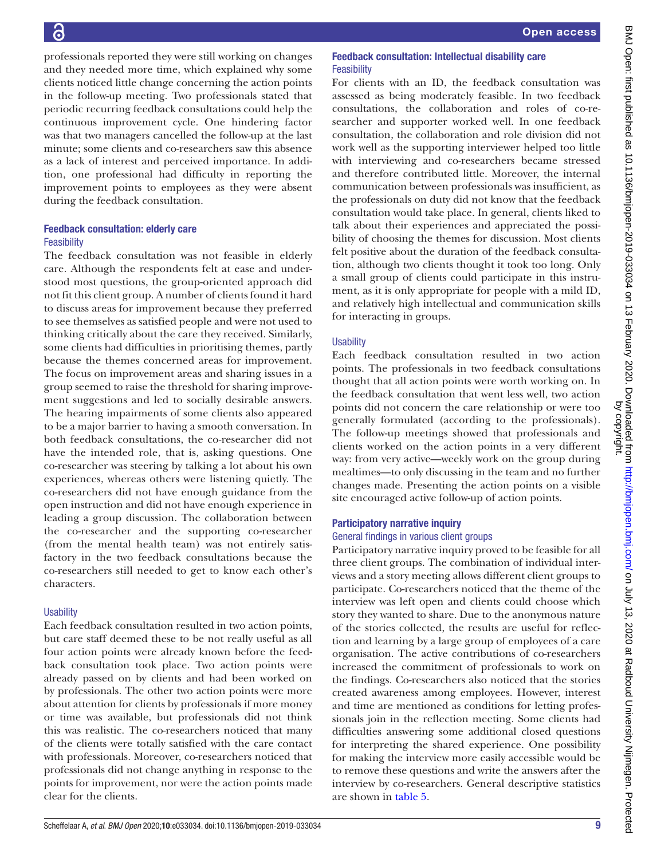professionals reported they were still working on changes and they needed more time, which explained why some clients noticed little change concerning the action points in the follow-up meeting. Two professionals stated that periodic recurring feedback consultations could help the continuous improvement cycle. One hindering factor was that two managers cancelled the follow-up at the last minute; some clients and co-researchers saw this absence as a lack of interest and perceived importance. In addition, one professional had difficulty in reporting the improvement points to employees as they were absent during the feedback consultation.

#### Feedback consultation: elderly care **Feasibility**

The feedback consultation was not feasible in elderly care. Although the respondents felt at ease and understood most questions, the group-oriented approach did not fit this client group. A number of clients found it hard to discuss areas for improvement because they preferred to see themselves as satisfied people and were not used to thinking critically about the care they received. Similarly, some clients had difficulties in prioritising themes, partly because the themes concerned areas for improvement. The focus on improvement areas and sharing issues in a group seemed to raise the threshold for sharing improvement suggestions and led to socially desirable answers. The hearing impairments of some clients also appeared to be a major barrier to having a smooth conversation. In both feedback consultations, the co-researcher did not have the intended role, that is, asking questions. One co-researcher was steering by talking a lot about his own experiences, whereas others were listening quietly. The co-researchers did not have enough guidance from the open instruction and did not have enough experience in leading a group discussion. The collaboration between the co-researcher and the supporting co-researcher (from the mental health team) was not entirely satisfactory in the two feedback consultations because the co-researchers still needed to get to know each other's characters.

# **Usability**

Each feedback consultation resulted in two action points, but care staff deemed these to be not really useful as all four action points were already known before the feedback consultation took place. Two action points were already passed on by clients and had been worked on by professionals. The other two action points were more about attention for clients by professionals if more money or time was available, but professionals did not think this was realistic. The co-researchers noticed that many of the clients were totally satisfied with the care contact with professionals. Moreover, co-researchers noticed that professionals did not change anything in response to the points for improvement, nor were the action points made clear for the clients.

# Feedback consultation: Intellectual disability care **Feasibility**

For clients with an ID, the feedback consultation was assessed as being moderately feasible. In two feedback consultations, the collaboration and roles of co-researcher and supporter worked well. In one feedback consultation, the collaboration and role division did not work well as the supporting interviewer helped too little with interviewing and co-researchers became stressed and therefore contributed little. Moreover, the internal communication between professionals was insufficient, as the professionals on duty did not know that the feedback consultation would take place. In general, clients liked to talk about their experiences and appreciated the possibility of choosing the themes for discussion. Most clients felt positive about the duration of the feedback consultation, although two clients thought it took too long. Only a small group of clients could participate in this instrument, as it is only appropriate for people with a mild ID, and relatively high intellectual and communication skills for interacting in groups.

# **Usability**

Each feedback consultation resulted in two action points. The professionals in two feedback consultations thought that all action points were worth working on. In the feedback consultation that went less well, two action points did not concern the care relationship or were too generally formulated (according to the professionals). The follow-up meetings showed that professionals and clients worked on the action points in a very different way: from very active—weekly work on the group during mealtimes—to only discussing in the team and no further changes made. Presenting the action points on a visible site encouraged active follow-up of action points.

# Participatory narrative inquiry

# General findings in various client groups

Participatory narrative inquiry proved to be feasible for all three client groups. The combination of individual interviews and a story meeting allows different client groups to participate. Co-researchers noticed that the theme of the interview was left open and clients could choose which story they wanted to share. Due to the anonymous nature of the stories collected, the results are useful for reflection and learning by a large group of employees of a care organisation. The active contributions of co-researchers increased the commitment of professionals to work on the findings. Co-researchers also noticed that the stories created awareness among employees. However, interest and time are mentioned as conditions for letting professionals join in the reflection meeting. Some clients had difficulties answering some additional closed questions for interpreting the shared experience. One possibility for making the interview more easily accessible would be to remove these questions and write the answers after the interview by co-researchers. General descriptive statistics are shown in [table](#page-9-0) 5.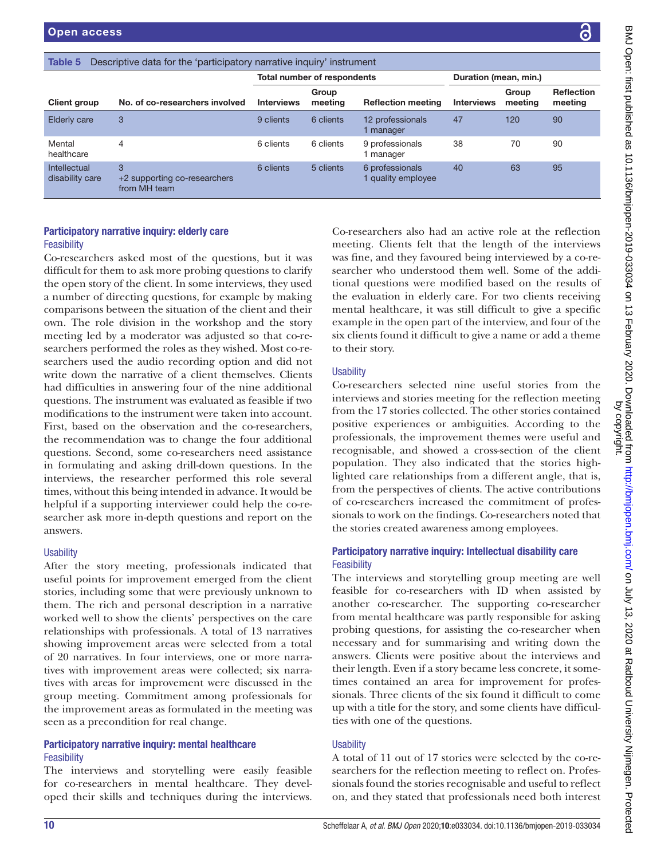<span id="page-9-0"></span>

| Table 5<br>Descriptive data for the 'participatory narrative inquiry' instrument |                                                   |                             |                  |                                       |                       |                  |                              |  |
|----------------------------------------------------------------------------------|---------------------------------------------------|-----------------------------|------------------|---------------------------------------|-----------------------|------------------|------------------------------|--|
|                                                                                  |                                                   | Total number of respondents |                  |                                       | Duration (mean, min.) |                  |                              |  |
| Client group                                                                     | No. of co-researchers involved                    | <b>Interviews</b>           | Group<br>meeting | <b>Reflection meeting</b>             | <b>Interviews</b>     | Group<br>meeting | <b>Reflection</b><br>meeting |  |
| <b>Elderly care</b>                                                              | 3                                                 | 9 clients                   | 6 clients        | 12 professionals<br>1 manager         | 47                    | 120              | 90                           |  |
| Mental<br>healthcare                                                             | 4                                                 | 6 clients                   | 6 clients        | 9 professionals<br>I manager          | 38                    | 70               | 90                           |  |
| Intellectual<br>disability care                                                  | 3<br>+2 supporting co-researchers<br>from MH team | 6 clients                   | 5 clients        | 6 professionals<br>1 quality employee | 40                    | 63               | 95                           |  |

#### Participatory narrative inquiry: elderly care **Feasibility**

Co-researchers asked most of the questions, but it was difficult for them to ask more probing questions to clarify the open story of the client. In some interviews, they used a number of directing questions, for example by making comparisons between the situation of the client and their own. The role division in the workshop and the story meeting led by a moderator was adjusted so that co-researchers performed the roles as they wished. Most co-researchers used the audio recording option and did not write down the narrative of a client themselves. Clients had difficulties in answering four of the nine additional questions. The instrument was evaluated as feasible if two modifications to the instrument were taken into account. First, based on the observation and the co-researchers, the recommendation was to change the four additional questions. Second, some co-researchers need assistance in formulating and asking drill-down questions. In the interviews, the researcher performed this role several times, without this being intended in advance. It would be helpful if a supporting interviewer could help the co-researcher ask more in-depth questions and report on the answers.

#### **Usability**

After the story meeting, professionals indicated that useful points for improvement emerged from the client stories, including some that were previously unknown to them. The rich and personal description in a narrative worked well to show the clients' perspectives on the care relationships with professionals. A total of 13 narratives showing improvement areas were selected from a total of 20 narratives. In four interviews, one or more narratives with improvement areas were collected; six narratives with areas for improvement were discussed in the group meeting. Commitment among professionals for the improvement areas as formulated in the meeting was seen as a precondition for real change.

#### Participatory narrative inquiry: mental healthcare **Feasibility**

The interviews and storytelling were easily feasible for co-researchers in mental healthcare. They developed their skills and techniques during the interviews.

Co-researchers also had an active role at the reflection meeting. Clients felt that the length of the interviews was fine, and they favoured being interviewed by a co-researcher who understood them well. Some of the additional questions were modified based on the results of the evaluation in elderly care. For two clients receiving mental healthcare, it was still difficult to give a specific example in the open part of the interview, and four of the six clients found it difficult to give a name or add a theme to their story.

# **Usability**

Co-researchers selected nine useful stories from the interviews and stories meeting for the reflection meeting from the 17 stories collected. The other stories contained positive experiences or ambiguities. According to the professionals, the improvement themes were useful and recognisable, and showed a cross-section of the client population. They also indicated that the stories highlighted care relationships from a different angle, that is, from the perspectives of clients. The active contributions of co-researchers increased the commitment of professionals to work on the findings. Co-researchers noted that the stories created awareness among employees.

# Participatory narrative inquiry: Intellectual disability care **Feasibility**

The interviews and storytelling group meeting are well feasible for co-researchers with ID when assisted by another co-researcher. The supporting co-researcher from mental healthcare was partly responsible for asking probing questions, for assisting the co-researcher when necessary and for summarising and writing down the answers. Clients were positive about the interviews and their length. Even if a story became less concrete, it sometimes contained an area for improvement for professionals. Three clients of the six found it difficult to come up with a title for the story, and some clients have difficulties with one of the questions.

# **Usability**

A total of 11 out of 17 stories were selected by the co-researchers for the reflection meeting to reflect on. Professionals found the stories recognisable and useful to reflect on, and they stated that professionals need both interest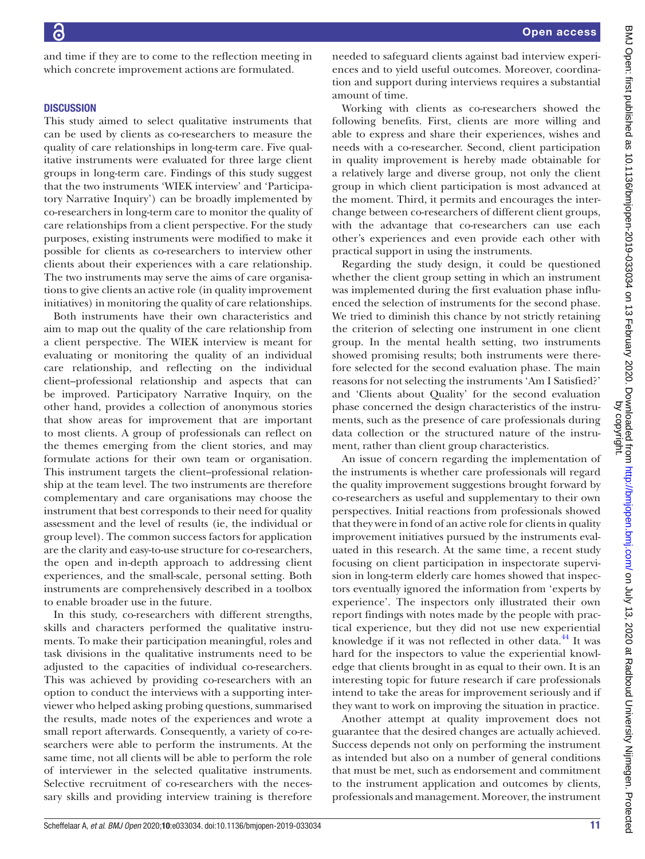and time if they are to come to the reflection meeting in which concrete improvement actions are formulated.

#### **DISCUSSION**

This study aimed to select qualitative instruments that can be used by clients as co-researchers to measure the quality of care relationships in long-term care. Five qualitative instruments were evaluated for three large client groups in long-term care. Findings of this study suggest that the two instruments 'WIEK interview' and 'Participatory Narrative Inquiry') can be broadly implemented by co-researchers in long-term care to monitor the quality of care relationships from a client perspective. For the study purposes, existing instruments were modified to make it possible for clients as co-researchers to interview other clients about their experiences with a care relationship. The two instruments may serve the aims of care organisations to give clients an active role (in quality improvement initiatives) in monitoring the quality of care relationships.

Both instruments have their own characteristics and aim to map out the quality of the care relationship from a client perspective. The WIEK interview is meant for evaluating or monitoring the quality of an individual care relationship, and reflecting on the individual client–professional relationship and aspects that can be improved. Participatory Narrative Inquiry, on the other hand, provides a collection of anonymous stories that show areas for improvement that are important to most clients. A group of professionals can reflect on the themes emerging from the client stories, and may formulate actions for their own team or organisation. This instrument targets the client–professional relationship at the team level. The two instruments are therefore complementary and care organisations may choose the instrument that best corresponds to their need for quality assessment and the level of results (ie, the individual or group level). The common success factors for application are the clarity and easy-to-use structure for co-researchers, the open and in-depth approach to addressing client experiences, and the small-scale, personal setting. Both instruments are comprehensively described in a toolbox to enable broader use in the future.

In this study, co-researchers with different strengths, skills and characters performed the qualitative instruments. To make their participation meaningful, roles and task divisions in the qualitative instruments need to be adjusted to the capacities of individual co-researchers. This was achieved by providing co-researchers with an option to conduct the interviews with a supporting interviewer who helped asking probing questions, summarised the results, made notes of the experiences and wrote a small report afterwards. Consequently, a variety of co-researchers were able to perform the instruments. At the same time, not all clients will be able to perform the role of interviewer in the selected qualitative instruments. Selective recruitment of co-researchers with the necessary skills and providing interview training is therefore

BMJ Open: first published as 10.1136/bmjopen-2019-033034 on 13 February 2020. Downloaded from http://bmjopen.bmj.com/ on July 13, 2020 at Radboud University Nijmegen. Protected<br>by copyright published as 10.1136/bmjopen-201 BMJ Open: first published as 10.1136/bmjopen-2019-033034 on 13 February 2020. Downloaded from <http://bmjopen.bmj.com/> on July 13, 2020 at Radboud University Nijmegen. Protected by copyright.

needed to safeguard clients against bad interview experiences and to yield useful outcomes. Moreover, coordination and support during interviews requires a substantial amount of time.

Working with clients as co-researchers showed the following benefits. First, clients are more willing and able to express and share their experiences, wishes and needs with a co-researcher. Second, client participation in quality improvement is hereby made obtainable for a relatively large and diverse group, not only the client group in which client participation is most advanced at the moment. Third, it permits and encourages the interchange between co-researchers of different client groups, with the advantage that co-researchers can use each other's experiences and even provide each other with practical support in using the instruments.

Regarding the study design, it could be questioned whether the client group setting in which an instrument was implemented during the first evaluation phase influenced the selection of instruments for the second phase. We tried to diminish this chance by not strictly retaining the criterion of selecting one instrument in one client group. In the mental health setting, two instruments showed promising results; both instruments were therefore selected for the second evaluation phase. The main reasons for not selecting the instruments 'Am I Satisfied?' and 'Clients about Quality' for the second evaluation phase concerned the design characteristics of the instruments, such as the presence of care professionals during data collection or the structured nature of the instrument, rather than client group characteristics.

An issue of concern regarding the implementation of the instruments is whether care professionals will regard the quality improvement suggestions brought forward by co-researchers as useful and supplementary to their own perspectives. Initial reactions from professionals showed that they were in fond of an active role for clients in quality improvement initiatives pursued by the instruments evaluated in this research. At the same time, a recent study focusing on client participation in inspectorate supervision in long-term elderly care homes showed that inspectors eventually ignored the information from 'experts by experience'. The inspectors only illustrated their own report findings with notes made by the people with practical experience, but they did not use new experiential knowledge if it was not reflected in other data.<sup>[44](#page-13-11)</sup> It was hard for the inspectors to value the experiential knowledge that clients brought in as equal to their own. It is an interesting topic for future research if care professionals intend to take the areas for improvement seriously and if they want to work on improving the situation in practice.

Another attempt at quality improvement does not guarantee that the desired changes are actually achieved. Success depends not only on performing the instrument as intended but also on a number of general conditions that must be met, such as endorsement and commitment to the instrument application and outcomes by clients, professionals and management. Moreover, the instrument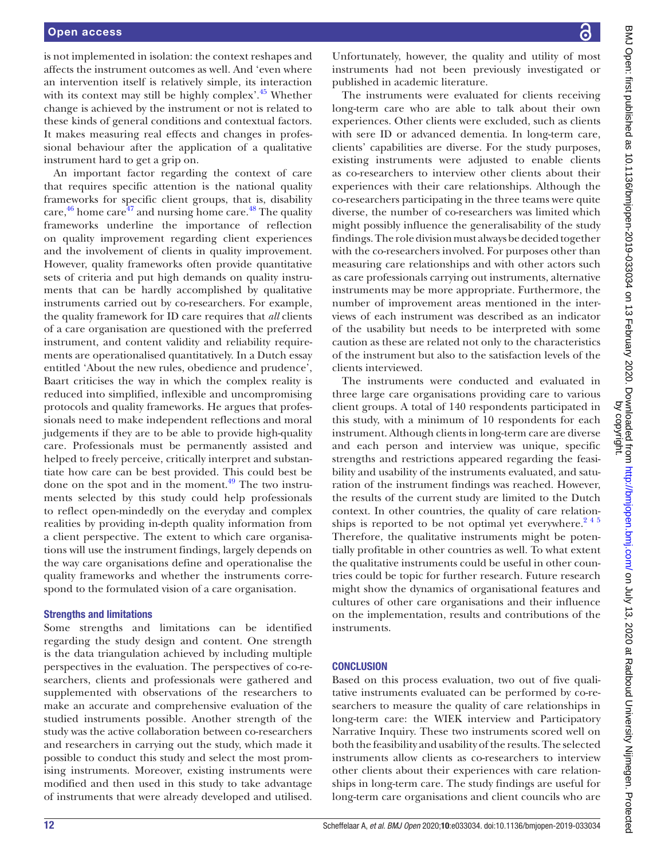is not implemented in isolation: the context reshapes and affects the instrument outcomes as well. And 'even where an intervention itself is relatively simple, its interaction with its context may still be highly complex'. $45$  Whether change is achieved by the instrument or not is related to these kinds of general conditions and contextual factors. It makes measuring real effects and changes in professional behaviour after the application of a qualitative instrument hard to get a grip on.

An important factor regarding the context of care that requires specific attention is the national quality frameworks for specific client groups, that is, disability care, $^{46}$  $^{46}$  $^{46}$  home care $^{47}$  and nursing home care.<sup>48</sup> The quality frameworks underline the importance of reflection on quality improvement regarding client experiences and the involvement of clients in quality improvement. However, quality frameworks often provide quantitative sets of criteria and put high demands on quality instruments that can be hardly accomplished by qualitative instruments carried out by co-researchers. For example, the quality framework for ID care requires that *all* clients of a care organisation are questioned with the preferred instrument, and content validity and reliability requirements are operationalised quantitatively. In a Dutch essay entitled 'About the new rules, obedience and prudence', Baart criticises the way in which the complex reality is reduced into simplified, inflexible and uncompromising protocols and quality frameworks. He argues that professionals need to make independent reflections and moral judgements if they are to be able to provide high-quality care. Professionals must be permanently assisted and helped to freely perceive, critically interpret and substantiate how care can be best provided. This could best be done on the spot and in the moment. $49$  The two instruments selected by this study could help professionals to reflect open-mindedly on the everyday and complex realities by providing in-depth quality information from a client perspective. The extent to which care organisations will use the instrument findings, largely depends on the way care organisations define and operationalise the quality frameworks and whether the instruments correspond to the formulated vision of a care organisation.

#### Strengths and limitations

Some strengths and limitations can be identified regarding the study design and content. One strength is the data triangulation achieved by including multiple perspectives in the evaluation. The perspectives of co-researchers, clients and professionals were gathered and supplemented with observations of the researchers to make an accurate and comprehensive evaluation of the studied instruments possible. Another strength of the study was the active collaboration between co-researchers and researchers in carrying out the study, which made it possible to conduct this study and select the most promising instruments. Moreover, existing instruments were modified and then used in this study to take advantage of instruments that were already developed and utilised.

Unfortunately, however, the quality and utility of most instruments had not been previously investigated or published in academic literature.

The instruments were evaluated for clients receiving long-term care who are able to talk about their own experiences. Other clients were excluded, such as clients with sere ID or advanced dementia. In long-term care, clients' capabilities are diverse. For the study purposes, existing instruments were adjusted to enable clients as co-researchers to interview other clients about their experiences with their care relationships. Although the co-researchers participating in the three teams were quite diverse, the number of co-researchers was limited which might possibly influence the generalisability of the study findings. The role division must always be decided together with the co-researchers involved. For purposes other than measuring care relationships and with other actors such as care professionals carrying out instruments, alternative instruments may be more appropriate. Furthermore, the number of improvement areas mentioned in the interviews of each instrument was described as an indicator of the usability but needs to be interpreted with some caution as these are related not only to the characteristics of the instrument but also to the satisfaction levels of the clients interviewed.

The instruments were conducted and evaluated in three large care organisations providing care to various client groups. A total of 140 respondents participated in this study, with a minimum of 10 respondents for each instrument. Although clients in long-term care are diverse and each person and interview was unique, specific strengths and restrictions appeared regarding the feasibility and usability of the instruments evaluated, and saturation of the instrument findings was reached. However, the results of the current study are limited to the Dutch context. In other countries, the quality of care relationships is reported to be not optimal yet everywhere.<sup>245</sup> Therefore, the qualitative instruments might be potentially profitable in other countries as well. To what extent the qualitative instruments could be useful in other countries could be topic for further research. Future research might show the dynamics of organisational features and cultures of other care organisations and their influence on the implementation, results and contributions of the instruments.

#### **CONCLUSION**

Based on this process evaluation, two out of five qualitative instruments evaluated can be performed by co-researchers to measure the quality of care relationships in long-term care: the WIEK interview and Participatory Narrative Inquiry. These two instruments scored well on both the feasibility and usability of the results. The selected instruments allow clients as co-researchers to interview other clients about their experiences with care relationships in long-term care. The study findings are useful for long-term care organisations and client councils who are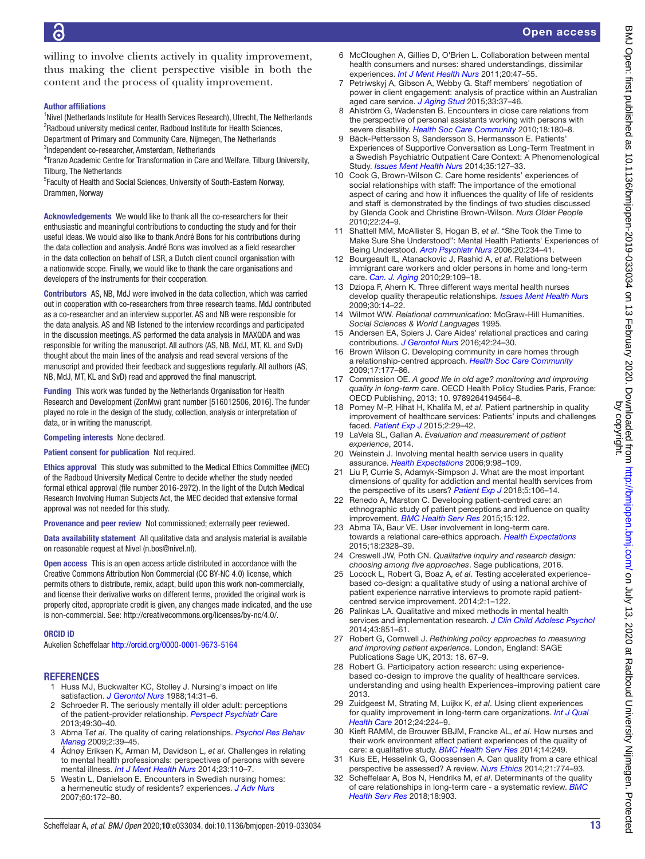willing to involve clients actively in quality improvement, thus making the client perspective visible in both the content and the process of quality improvement.

#### Author affiliations

<sup>1</sup>Nivel (Netherlands Institute for Health Services Research), Utrecht, The Netherlands <sup>2</sup>Radboud university medical center, Radboud Institute for Health Sciences, Department of Primary and Community Care, Nijmegen, The Netherlands 3 Independent co-researcher, Amsterdam, Netherlands

4 Tranzo Academic Centre for Transformation in Care and Welfare, Tilburg University, Tilburg, The Netherlands

<sup>5</sup> Faculty of Health and Social Sciences, University of South-Eastern Norway, Drammen, Norway

Acknowledgements We would like to thank all the co-researchers for their enthusiastic and meaningful contributions to conducting the study and for their useful ideas. We would also like to thank André Bons for his contributions during the data collection and analysis. André Bons was involved as a field researcher in the data collection on behalf of LSR, a Dutch client council organisation with a nationwide scope. Finally, we would like to thank the care organisations and developers of the instruments for their cooperation.

Contributors AS, NB, MdJ were involved in the data collection, which was carried out in cooperation with co-researchers from three research teams. MdJ contributed as a co-researcher and an interview supporter. AS and NB were responsible for the data analysis. AS and NB listened to the interview recordings and participated in the discussion meetings. AS performed the data analysis in MAXQDA and was responsible for writing the manuscript. All authors (AS, NB, MdJ, MT, KL and SvD) thought about the main lines of the analysis and read several versions of the manuscript and provided their feedback and suggestions regularly. All authors (AS, NB, MdJ, MT, KL and SvD) read and approved the final manuscript.

Funding This work was funded by the Netherlands Organisation for Health Research and Development (ZonMw) grant number [516012506, 2016]. The funder played no role in the design of the study, collection, analysis or interpretation of data, or in writing the manuscript.

#### Competing interests None declared.

#### Patient consent for publication Not required.

Ethics approval This study was submitted to the Medical Ethics Committee (MEC) of the Radboud University Medical Centre to decide whether the study needed formal ethical approval (file number 2016-2972). In the light of the Dutch Medical Research Involving Human Subjects Act, the MEC decided that extensive formal approval was not needed for this study.

Provenance and peer review Not commissioned; externally peer reviewed.

Data availability statement All qualitative data and analysis material is available on reasonable request at Nivel (n.bos@nivel.nl).

Open access This is an open access article distributed in accordance with the Creative Commons Attribution Non Commercial (CC BY-NC 4.0) license, which permits others to distribute, remix, adapt, build upon this work non-commercially, and license their derivative works on different terms, provided the original work is properly cited, appropriate credit is given, any changes made indicated, and the use is non-commercial. See: [http://creativecommons.org/licenses/by-nc/4.0/.](http://creativecommons.org/licenses/by-nc/4.0/)

#### ORCID iD

Aukelien Scheffelaar<http://orcid.org/0000-0001-9673-5164>

#### **REFERENCES**

- <span id="page-12-0"></span>1 Huss MJ, Buckwalter KC, Stolley J. Nursing's impact on life satisfaction. *[J Gerontol Nurs](http://dx.doi.org/10.3928/0098-9134-19880501-09)* 1988;14:31–6.
- <span id="page-12-1"></span>2 Schroeder R. The seriously mentally ill older adult: perceptions of the patient-provider relationship. *[Perspect Psychiatr Care](http://dx.doi.org/10.1111/j.1744-6163.2012.00338.x)* 2013;49:30–40.
- <span id="page-12-5"></span>3 Abma T*et al*. The quality of caring relationships. *[Psychol Res Behav](http://dx.doi.org/10.2147/PRBM.S4617)  [Manag](http://dx.doi.org/10.2147/PRBM.S4617)* 2009;2:39–45.
- 4 Ådnøy Eriksen K, Arman M, Davidson L, *et al*. Challenges in relating to mental health professionals: perspectives of persons with severe mental illness. *[Int J Ment Health Nurs](http://dx.doi.org/10.1111/inm.12024)* 2014;23:110–7.
- 5 Westin L, Danielson E. Encounters in Swedish nursing homes: a hermeneutic study of residents? experiences. *[J Adv Nurs](http://dx.doi.org/10.1111/j.1365-2648.2007.04396.x)* 2007;60:172–80.
- <span id="page-12-2"></span>6 McCloughen A, Gillies D, O'Brien L. Collaboration between mental health consumers and nurses: shared understandings, dissimilar experiences. *[Int J Ment Health Nurs](http://dx.doi.org/10.1111/j.1447-0349.2010.00708.x)* 2011;20:47–55.
- 7 Petriwskyj A, Gibson A, Webby G. Staff members' negotiation of power in client engagement: analysis of practice within an Australian aged care service. *[J Aging Stud](http://dx.doi.org/10.1016/j.jaging.2015.02.011)* 2015;33:37–46.
- 8 Ahlström G, Wadensten B. Encounters in close care relations from the perspective of personal assistants working with persons with severe disablility. *[Health Soc Care Community](http://dx.doi.org/10.1111/j.1365-2524.2009.00887.x)* 2010;18:180–8.
- <span id="page-12-3"></span>9 Bäck-Pettersson S, Sandersson S, Hermansson E. Patients' Experiences of Supportive Conversation as Long-Term Treatment in a Swedish Psychiatric Outpatient Care Context: A Phenomenological Study. *[Issues Ment Health Nurs](http://dx.doi.org/10.3109/01612840.2013.860646)* 2014;35:127–33.
- 10 Cook G, Brown-Wilson C. Care home residents' experiences of social relationships with staff: The importance of the emotional aspect of caring and how it influences the quality of life of residents and staff is demonstrated by the findings of two studies discussed by Glenda Cook and Christine Brown-Wilson. *Nurs Older People* 2010;22:24–9.
- <span id="page-12-4"></span>11 Shattell MM, McAllister S, Hogan B, *et al*. "She Took the Time to Make Sure She Understood": Mental Health Patients' Experiences of Being Understood. *[Arch Psychiatr Nurs](http://dx.doi.org/10.1016/j.apnu.2006.02.002)* 2006;20:234–41.
- 12 Bourgeault IL, Atanackovic J, Rashid A, *et al*. Relations between immigrant care workers and older persons in home and long-term care. *[Can. J. Aging](http://dx.doi.org/10.1017/S0714980809990407)* 2010;29:109–18.
- <span id="page-12-6"></span>13 Dziopa F, Ahern K. Three different ways mental health nurses develop quality therapeutic relationships. *[Issues Ment Health Nurs](http://dx.doi.org/10.1080/01612840802500691)* 2009;30:14–22.
- 14 Wilmot WW. *Relational communication*: McGraw-Hill Humanities. *Social Sciences & World Languages* 1995.
- 15 Andersen EA, Spiers J. Care Aides' relational practices and caring contributions. *[J Gerontol Nurs](http://dx.doi.org/10.3928/00989134-20160901-03)* 2016;42:24–30.
- 16 Brown Wilson C. Developing community in care homes through a relationship-centred approach. *[Health Soc Care Community](http://dx.doi.org/10.1111/j.1365-2524.2008.00815.x)* 2009;17:177–86.
- <span id="page-12-7"></span>17 Commission OE. *A good life in old age? monitoring and improving quality in long-term care*. OECD Health Policy Studies Paris, France: OECD Publishing, 2013: 10. 9789264194564–8.
- <span id="page-12-8"></span>18 Pomey M-P, Hihat H, Khalifa M, *et al*. Patient partnership in quality improvement of healthcare services: Patients' inputs and challenges faced. *[Patient Exp J](http://dx.doi.org/10.35680/2372-0247.1064)* 2015;2:29–42.
- <span id="page-12-9"></span>19 LaVela SL, Gallan A. *Evaluation and measurement of patient experience*, 2014.
- 20 Weinstein J. Involving mental health service users in quality assurance. *[Health Expectations](http://dx.doi.org/10.1111/j.1369-7625.2006.00377.x)* 2006;9:98–109.
- <span id="page-12-10"></span>21 Liu P, Currie S, Adamyk-Simpson J. What are the most important dimensions of quality for addiction and mental health services from the perspective of its users? *[Patient Exp J](http://dx.doi.org/10.35680/2372-0247.1244)* 2018;5:106–14.
- <span id="page-12-11"></span>22 Renedo A, Marston C. Developing patient-centred care: an ethnographic study of patient perceptions and influence on quality improvement. *[BMC Health Serv Res](http://dx.doi.org/10.1186/s12913-015-0770-y)* 2015;15:122.
- <span id="page-12-12"></span>23 Abma TA, Baur VE. User involvement in long-term care. towards a relational care-ethics approach. *[Health Expectations](http://dx.doi.org/10.1111/hex.12202)* 2015;18:2328–39.
- <span id="page-12-13"></span>24 Creswell JW, Poth CN. *Qualitative inquiry and research design: choosing among five approaches*. Sage publications, 2016.
- <span id="page-12-14"></span>25 Locock L, Robert G, Boaz A, *et al*. Testing accelerated experiencebased co-design: a qualitative study of using a national archive of patient experience narrative interviews to promote rapid patientcentred service improvement. 2014;2:1–122.
- <span id="page-12-15"></span>26 Palinkas LA. Qualitative and mixed methods in mental health services and implementation research. *[J Clin Child Adolesc Psychol](http://dx.doi.org/10.1080/15374416.2014.910791)* 2014;43:851–61.
- 27 Robert G, Cornwell J. *Rethinking policy approaches to measuring and improving patient experience*. London, England: SAGE Publications Sage UK, 2013: 18. 67–9.
- 28 Robert G. Participatory action research: using experiencebased co-design to improve the quality of healthcare services. understanding and using health Experiences–improving patient care 2013.
- 29 Zuidgeest M, Strating M, Luijkx K, *et al*. Using client experiences for quality improvement in long-term care organizations. *[Int J Qual](http://dx.doi.org/10.1093/intqhc/mzs013)  [Health Care](http://dx.doi.org/10.1093/intqhc/mzs013)* 2012;24:224–9.
- <span id="page-12-16"></span>30 Kieft RAMM, de Brouwer BBJM, Francke AL, *et al*. How nurses and their work environment affect patient experiences of the quality of care: a qualitative study. *[BMC Health Serv Res](http://dx.doi.org/10.1186/1472-6963-14-249)* 2014;14:249.
- <span id="page-12-17"></span>31 Kuis EE, Hesselink G, Goossensen A. Can quality from a care ethical perspective be assessed? A review. *[Nurs Ethics](http://dx.doi.org/10.1177/0969733013500163)* 2014;21:774–93.
- <span id="page-12-18"></span>32 Scheffelaar A, Bos N, Hendriks M, *et al*. Determinants of the quality of care relationships in long-term care - a systematic review. *[BMC](http://dx.doi.org/10.1186/s12913-018-3704-7)  [Health Serv Res](http://dx.doi.org/10.1186/s12913-018-3704-7)* 2018;18:903.